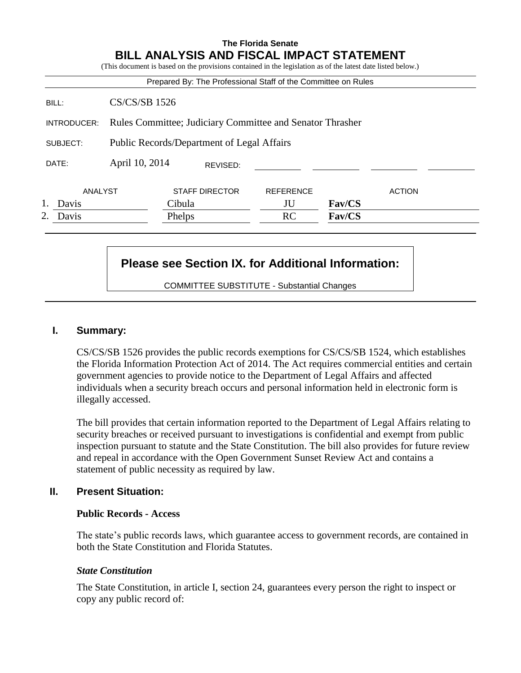# **The Florida Senate BILL ANALYSIS AND FISCAL IMPACT STATEMENT**

(This document is based on the provisions contained in the legislation as of the latest date listed below.)

|             |                                                           |                       |          | Prepared By: The Professional Staff of the Committee on Rules |        |               |
|-------------|-----------------------------------------------------------|-----------------------|----------|---------------------------------------------------------------|--------|---------------|
| BILL:       | <b>CS/CS/SB 1526</b>                                      |                       |          |                                                               |        |               |
| INTRODUCER: | Rules Committee; Judiciary Committee and Senator Thrasher |                       |          |                                                               |        |               |
| SUBJECT:    | Public Records/Department of Legal Affairs                |                       |          |                                                               |        |               |
| DATE:       | April 10, 2014                                            |                       | REVISED: |                                                               |        |               |
| ANALYST     |                                                           | <b>STAFF DIRECTOR</b> |          | <b>REFERENCE</b>                                              |        | <b>ACTION</b> |
| 1. Davis    |                                                           | Cibula                |          | JU                                                            | Fav/CS |               |
| 2. Davis    |                                                           | Phelps                |          | RC                                                            | Fav/CS |               |

# **Please see Section IX. for Additional Information:**

COMMITTEE SUBSTITUTE - Substantial Changes

#### **I. Summary:**

CS/CS/SB 1526 provides the public records exemptions for CS/CS/SB 1524, which establishes the Florida Information Protection Act of 2014. The Act requires commercial entities and certain government agencies to provide notice to the Department of Legal Affairs and affected individuals when a security breach occurs and personal information held in electronic form is illegally accessed.

The bill provides that certain information reported to the Department of Legal Affairs relating to security breaches or received pursuant to investigations is confidential and exempt from public inspection pursuant to statute and the State Constitution. The bill also provides for future review and repeal in accordance with the Open Government Sunset Review Act and contains a statement of public necessity as required by law.

### **II. Present Situation:**

#### **Public Records - Access**

The state's public records laws, which guarantee access to government records, are contained in both the State Constitution and Florida Statutes.

#### *State Constitution*

The State Constitution, in article I, section 24, guarantees every person the right to inspect or copy any public record of: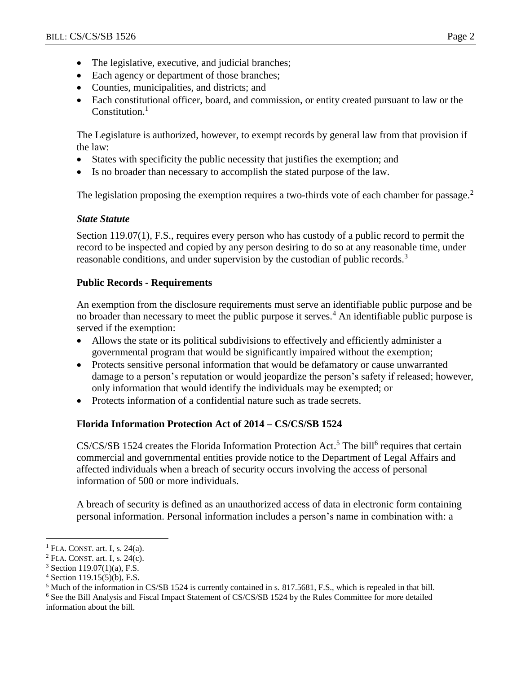- The legislative, executive, and judicial branches;
- Each agency or department of those branches;
- Counties, municipalities, and districts; and
- Each constitutional officer, board, and commission, or entity created pursuant to law or the Constitution. $<sup>1</sup>$ </sup>

The Legislature is authorized, however, to exempt records by general law from that provision if the law:

- States with specificity the public necessity that justifies the exemption; and
- Is no broader than necessary to accomplish the stated purpose of the law.

The legislation proposing the exemption requires a two-thirds vote of each chamber for passage.<sup>2</sup>

# *State Statute*

Section 119.07(1), F.S., requires every person who has custody of a public record to permit the record to be inspected and copied by any person desiring to do so at any reasonable time, under reasonable conditions, and under supervision by the custodian of public records.<sup>3</sup>

# **Public Records - Requirements**

An exemption from the disclosure requirements must serve an identifiable public purpose and be no broader than necessary to meet the public purpose it serves.<sup>4</sup> An identifiable public purpose is served if the exemption:

- Allows the state or its political subdivisions to effectively and efficiently administer a governmental program that would be significantly impaired without the exemption;
- Protects sensitive personal information that would be defamatory or cause unwarranted damage to a person's reputation or would jeopardize the person's safety if released; however, only information that would identify the individuals may be exempted; or
- Protects information of a confidential nature such as trade secrets.

# **Florida Information Protection Act of 2014 – CS/CS/SB 1524**

 $CS/CS/SB$  1524 creates the Florida Information Protection Act.<sup>5</sup> The bill<sup>6</sup> requires that certain commercial and governmental entities provide notice to the Department of Legal Affairs and affected individuals when a breach of security occurs involving the access of personal information of 500 or more individuals.

A breach of security is defined as an unauthorized access of data in electronic form containing personal information. Personal information includes a person's name in combination with: a

 $\overline{a}$  $<sup>1</sup>$  FLA. CONST. art. I, s. 24(a).</sup>

 $2$  FLA. CONST. art. I, s. 24(c).

 $3$  Section 119.07(1)(a), F.S.

 $4$  Section 119.15(5)(b), F.S.

<sup>5</sup> Much of the information in CS/SB 1524 is currently contained in s. 817.5681, F.S., which is repealed in that bill.

<sup>6</sup> See the Bill Analysis and Fiscal Impact Statement of CS/CS/SB 1524 by the Rules Committee for more detailed information about the bill.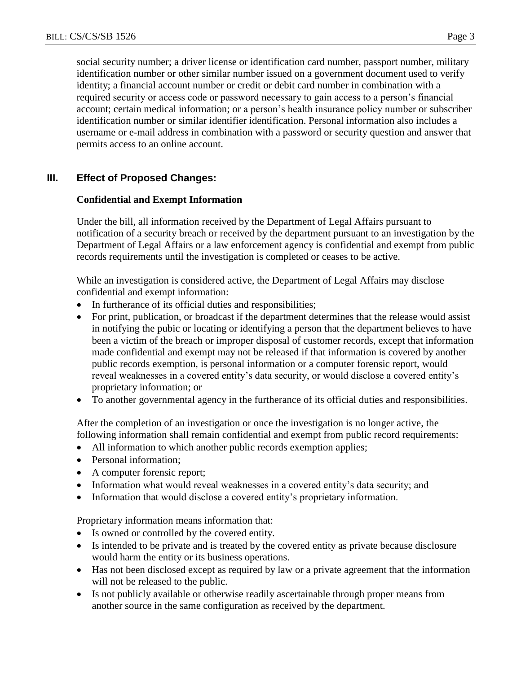social security number; a driver license or identification card number, passport number, military identification number or other similar number issued on a government document used to verify identity; a financial account number or credit or debit card number in combination with a required security or access code or password necessary to gain access to a person's financial account; certain medical information; or a person's health insurance policy number or subscriber identification number or similar identifier identification. Personal information also includes a username or e-mail address in combination with a password or security question and answer that permits access to an online account.

# **III. Effect of Proposed Changes:**

### **Confidential and Exempt Information**

Under the bill, all information received by the Department of Legal Affairs pursuant to notification of a security breach or received by the department pursuant to an investigation by the Department of Legal Affairs or a law enforcement agency is confidential and exempt from public records requirements until the investigation is completed or ceases to be active.

While an investigation is considered active, the Department of Legal Affairs may disclose confidential and exempt information:

- In furtherance of its official duties and responsibilities;
- For print, publication, or broadcast if the department determines that the release would assist in notifying the pubic or locating or identifying a person that the department believes to have been a victim of the breach or improper disposal of customer records, except that information made confidential and exempt may not be released if that information is covered by another public records exemption, is personal information or a computer forensic report, would reveal weaknesses in a covered entity's data security, or would disclose a covered entity's proprietary information; or
- To another governmental agency in the furtherance of its official duties and responsibilities.

After the completion of an investigation or once the investigation is no longer active, the following information shall remain confidential and exempt from public record requirements:

- All information to which another public records exemption applies;
- Personal information:
- A computer forensic report;
- Information what would reveal weaknesses in a covered entity's data security; and
- Information that would disclose a covered entity's proprietary information.

Proprietary information means information that:

- Is owned or controlled by the covered entity.
- Is intended to be private and is treated by the covered entity as private because disclosure would harm the entity or its business operations.
- Has not been disclosed except as required by law or a private agreement that the information will not be released to the public.
- Is not publicly available or otherwise readily ascertainable through proper means from another source in the same configuration as received by the department.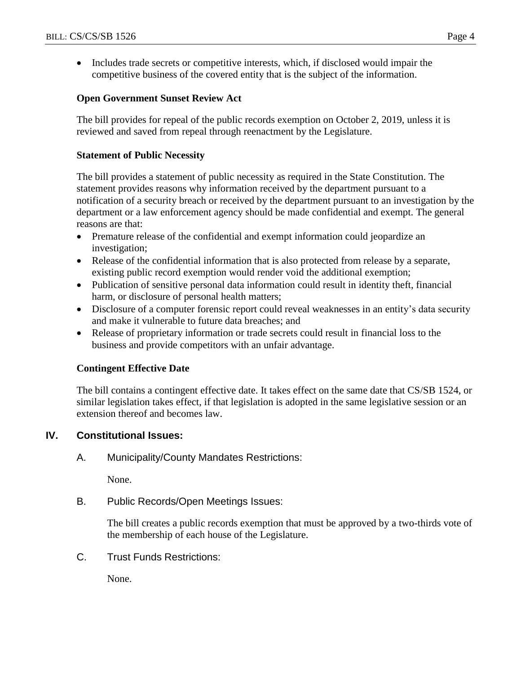• Includes trade secrets or competitive interests, which, if disclosed would impair the competitive business of the covered entity that is the subject of the information.

### **Open Government Sunset Review Act**

The bill provides for repeal of the public records exemption on October 2, 2019, unless it is reviewed and saved from repeal through reenactment by the Legislature.

#### **Statement of Public Necessity**

The bill provides a statement of public necessity as required in the State Constitution. The statement provides reasons why information received by the department pursuant to a notification of a security breach or received by the department pursuant to an investigation by the department or a law enforcement agency should be made confidential and exempt. The general reasons are that:

- Premature release of the confidential and exempt information could jeopardize an investigation;
- Release of the confidential information that is also protected from release by a separate, existing public record exemption would render void the additional exemption;
- Publication of sensitive personal data information could result in identity theft, financial harm, or disclosure of personal health matters;
- Disclosure of a computer forensic report could reveal weaknesses in an entity's data security and make it vulnerable to future data breaches; and
- Release of proprietary information or trade secrets could result in financial loss to the business and provide competitors with an unfair advantage.

# **Contingent Effective Date**

The bill contains a contingent effective date. It takes effect on the same date that CS/SB 1524, or similar legislation takes effect, if that legislation is adopted in the same legislative session or an extension thereof and becomes law.

# **IV. Constitutional Issues:**

A. Municipality/County Mandates Restrictions:

None.

B. Public Records/Open Meetings Issues:

The bill creates a public records exemption that must be approved by a two-thirds vote of the membership of each house of the Legislature.

C. Trust Funds Restrictions:

None.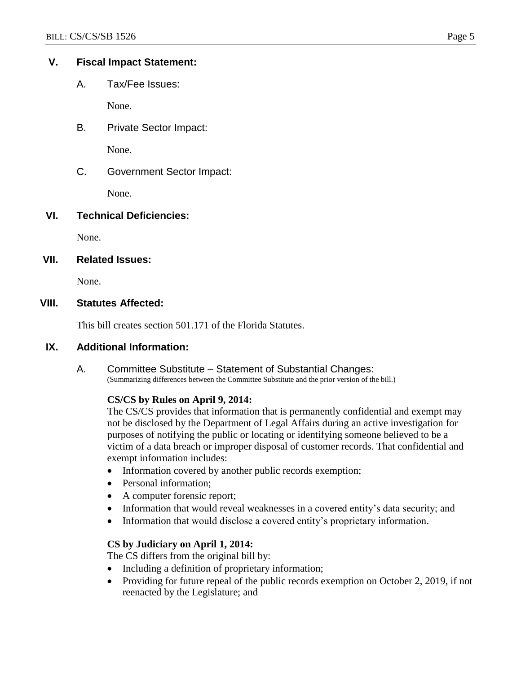# **V. Fiscal Impact Statement:**

A. Tax/Fee Issues:

None.

B. Private Sector Impact:

None.

C. Government Sector Impact:

None.

# **VI. Technical Deficiencies:**

None.

# **VII. Related Issues:**

None.

# **VIII. Statutes Affected:**

This bill creates section 501.171 of the Florida Statutes.

# **IX. Additional Information:**

A. Committee Substitute – Statement of Substantial Changes: (Summarizing differences between the Committee Substitute and the prior version of the bill.)

#### **CS/CS by Rules on April 9, 2014:**

The CS/CS provides that information that is permanently confidential and exempt may not be disclosed by the Department of Legal Affairs during an active investigation for purposes of notifying the public or locating or identifying someone believed to be a victim of a data breach or improper disposal of customer records. That confidential and exempt information includes:

- Information covered by another public records exemption;
- Personal information;
- A computer forensic report;
- Information that would reveal weaknesses in a covered entity's data security; and
- Information that would disclose a covered entity's proprietary information.

# **CS by Judiciary on April 1, 2014:**

The CS differs from the original bill by:

- Including a definition of proprietary information;
- Providing for future repeal of the public records exemption on October 2, 2019, if not reenacted by the Legislature; and